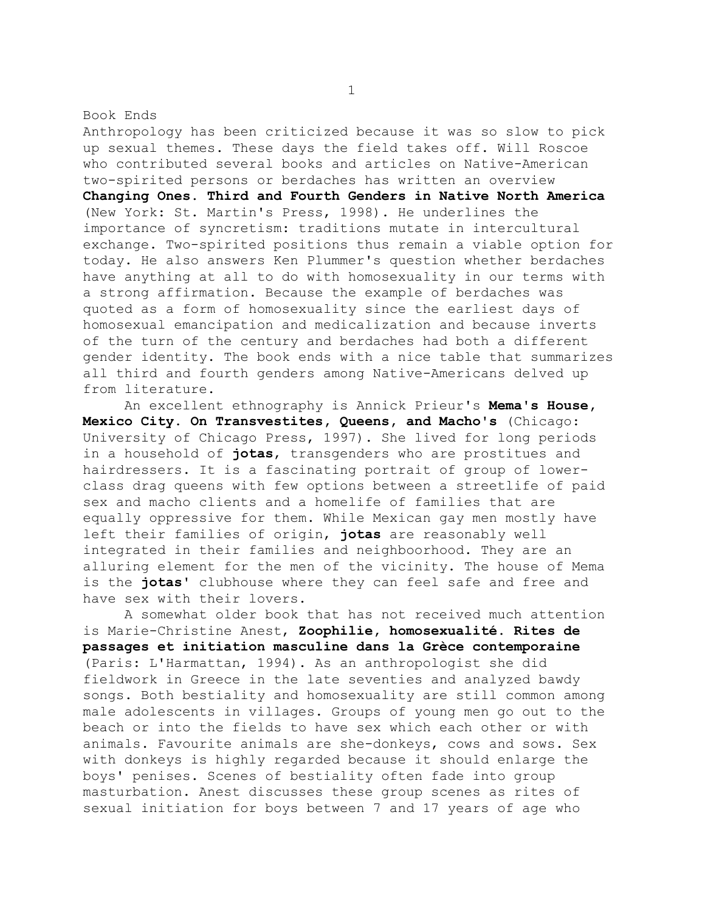Book Ends

Anthropology has been criticized because it was so slow to pick up sexual themes. These days the field takes off. Will Roscoe who contributed several books and articles on Native-American two-spirited persons or berdaches has written an overview **Changing Ones. Third and Fourth Genders in Native North America** (New York: St. Martin's Press, 1998). He underlines the importance of syncretism: traditions mutate in intercultural exchange. Two-spirited positions thus remain a viable option for today. He also answers Ken Plummer's question whether berdaches have anything at all to do with homosexuality in our terms with a strong affirmation. Because the example of berdaches was quoted as a form of homosexuality since the earliest days of homosexual emancipation and medicalization and because inverts of the turn of the century and berdaches had both a different gender identity. The book ends with a nice table that summarizes all third and fourth genders among Native-Americans delved up from literature.

 An excellent ethnography is Annick Prieur's **Mema's House, Mexico City. On Transvestites, Queens, and Macho's** (Chicago: University of Chicago Press, 1997). She lived for long periods in a household of **jotas**, transgenders who are prostitues and hairdressers. It is a fascinating portrait of group of lowerclass drag queens with few options between a streetlife of paid sex and macho clients and a homelife of families that are equally oppressive for them. While Mexican gay men mostly have left their families of origin, **jotas** are reasonably well integrated in their families and neighboorhood. They are an alluring element for the men of the vicinity. The house of Mema is the **jotas'** clubhouse where they can feel safe and free and have sex with their lovers.

 A somewhat older book that has not received much attention is Marie-Christine Anest, **Zoophilie, homosexualité. Rites de passages et initiation masculine dans la Grèce contemporaine** (Paris: L'Harmattan, 1994). As an anthropologist she did fieldwork in Greece in the late seventies and analyzed bawdy songs. Both bestiality and homosexuality are still common among male adolescents in villages. Groups of young men go out to the beach or into the fields to have sex which each other or with animals. Favourite animals are she-donkeys, cows and sows. Sex with donkeys is highly regarded because it should enlarge the boys' penises. Scenes of bestiality often fade into group masturbation. Anest discusses these group scenes as rites of sexual initiation for boys between 7 and 17 years of age who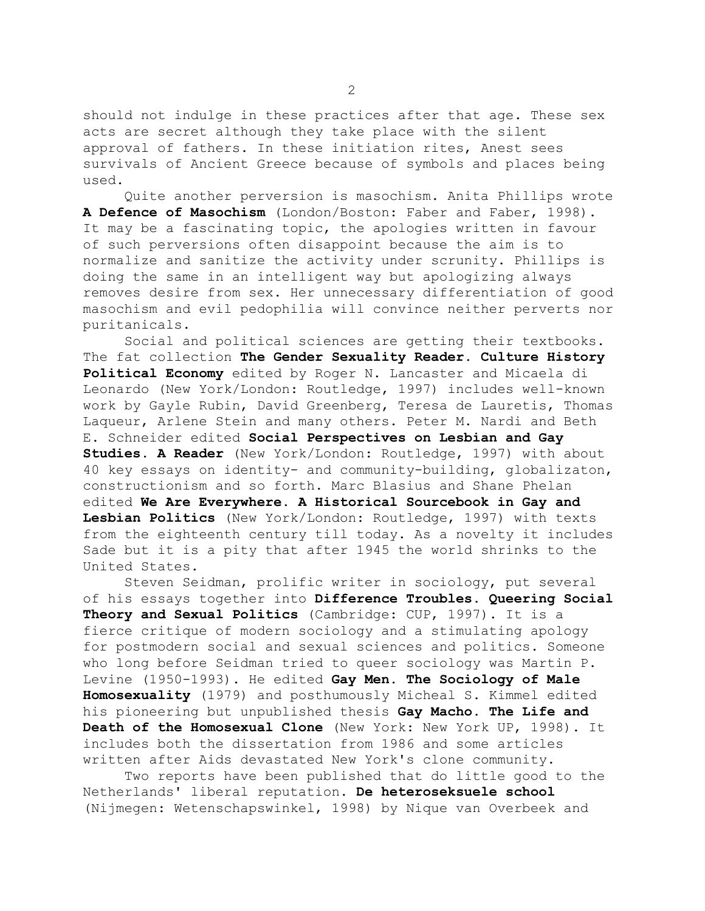should not indulge in these practices after that age. These sex acts are secret although they take place with the silent approval of fathers. In these initiation rites, Anest sees survivals of Ancient Greece because of symbols and places being used.

 Quite another perversion is masochism. Anita Phillips wrote **A Defence of Masochism** (London/Boston: Faber and Faber, 1998). It may be a fascinating topic, the apologies written in favour of such perversions often disappoint because the aim is to normalize and sanitize the activity under scrunity. Phillips is doing the same in an intelligent way but apologizing always removes desire from sex. Her unnecessary differentiation of good masochism and evil pedophilia will convince neither perverts nor puritanicals.

 Social and political sciences are getting their textbooks. The fat collection **The Gender Sexuality Reader. Culture History Political Economy** edited by Roger N. Lancaster and Micaela di Leonardo (New York/London: Routledge, 1997) includes well-known work by Gayle Rubin, David Greenberg, Teresa de Lauretis, Thomas Laqueur, Arlene Stein and many others. Peter M. Nardi and Beth E. Schneider edited **Social Perspectives on Lesbian and Gay Studies. A Reader** (New York/London: Routledge, 1997) with about 40 key essays on identity- and community-building, globalizaton, constructionism and so forth. Marc Blasius and Shane Phelan edited **We Are Everywhere. A Historical Sourcebook in Gay and Lesbian Politics** (New York/London: Routledge, 1997) with texts from the eighteenth century till today. As a novelty it includes Sade but it is a pity that after 1945 the world shrinks to the United States.

 Steven Seidman, prolific writer in sociology, put several of his essays together into **Difference Troubles. Queering Social Theory and Sexual Politics** (Cambridge: CUP, 1997). It is a fierce critique of modern sociology and a stimulating apology for postmodern social and sexual sciences and politics. Someone who long before Seidman tried to queer sociology was Martin P. Levine (1950-1993). He edited **Gay Men. The Sociology of Male Homosexuality** (1979) and posthumously Micheal S. Kimmel edited his pioneering but unpublished thesis **Gay Macho. The Life and Death of the Homosexual Clone** (New York: New York UP, 1998). It includes both the dissertation from 1986 and some articles written after Aids devastated New York's clone community.

 Two reports have been published that do little good to the Netherlands' liberal reputation. **De heteroseksuele school** (Nijmegen: Wetenschapswinkel, 1998) by Nique van Overbeek and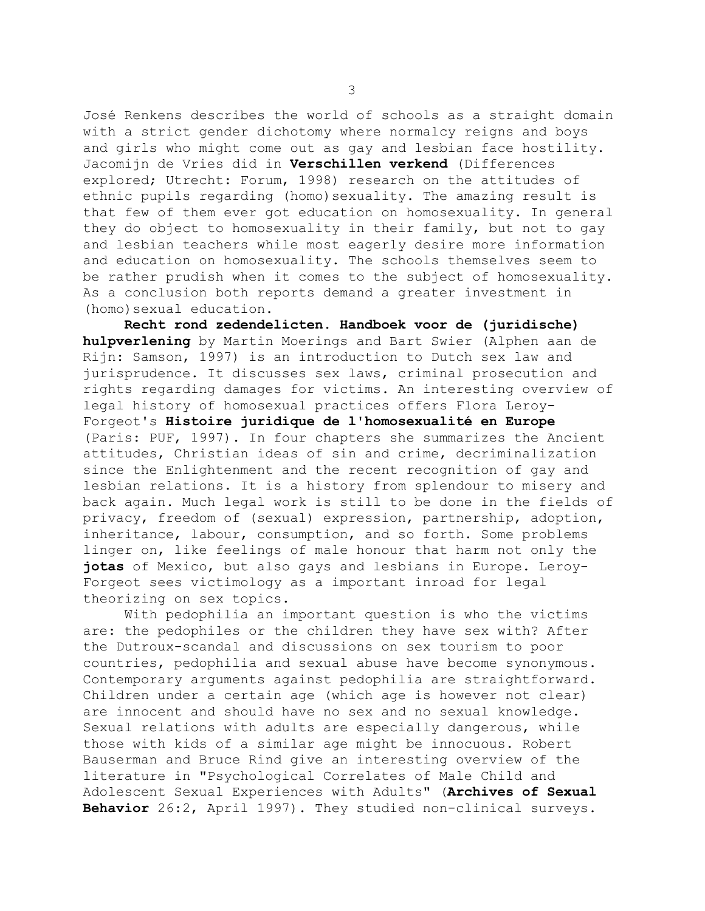José Renkens describes the world of schools as a straight domain with a strict gender dichotomy where normalcy reigns and boys and girls who might come out as gay and lesbian face hostility. Jacomijn de Vries did in **Verschillen verkend** (Differences explored; Utrecht: Forum, 1998) research on the attitudes of ethnic pupils regarding (homo)sexuality. The amazing result is that few of them ever got education on homosexuality. In general they do object to homosexuality in their family, but not to gay and lesbian teachers while most eagerly desire more information and education on homosexuality. The schools themselves seem to be rather prudish when it comes to the subject of homosexuality. As a conclusion both reports demand a greater investment in (homo) sexual education.

 **Recht rond zedendelicten. Handboek voor de (juridische) hulpverlening** by Martin Moerings and Bart Swier (Alphen aan de Rijn: Samson, 1997) is an introduction to Dutch sex law and jurisprudence. It discusses sex laws, criminal prosecution and rights regarding damages for victims. An interesting overview of legal history of homosexual practices offers Flora Leroy-Forgeot's **Histoire juridique de l'homosexualité en Europe** (Paris: PUF, 1997). In four chapters she summarizes the Ancient attitudes, Christian ideas of sin and crime, decriminalization since the Enlightenment and the recent recognition of gay and lesbian relations. It is a history from splendour to misery and back again. Much legal work is still to be done in the fields of privacy, freedom of (sexual) expression, partnership, adoption, inheritance, labour, consumption, and so forth. Some problems linger on, like feelings of male honour that harm not only the **jotas** of Mexico, but also gays and lesbians in Europe. Leroy-Forgeot sees victimology as a important inroad for legal theorizing on sex topics.

 With pedophilia an important question is who the victims are: the pedophiles or the children they have sex with? After the Dutroux-scandal and discussions on sex tourism to poor countries, pedophilia and sexual abuse have become synonymous. Contemporary arguments against pedophilia are straightforward. Children under a certain age (which age is however not clear) are innocent and should have no sex and no sexual knowledge. Sexual relations with adults are especially dangerous, while those with kids of a similar age might be innocuous. Robert Bauserman and Bruce Rind give an interesting overview of the literature in "Psychological Correlates of Male Child and Adolescent Sexual Experiences with Adults" (**Archives of Sexual Behavior** 26:2, April 1997). They studied non-clinical surveys.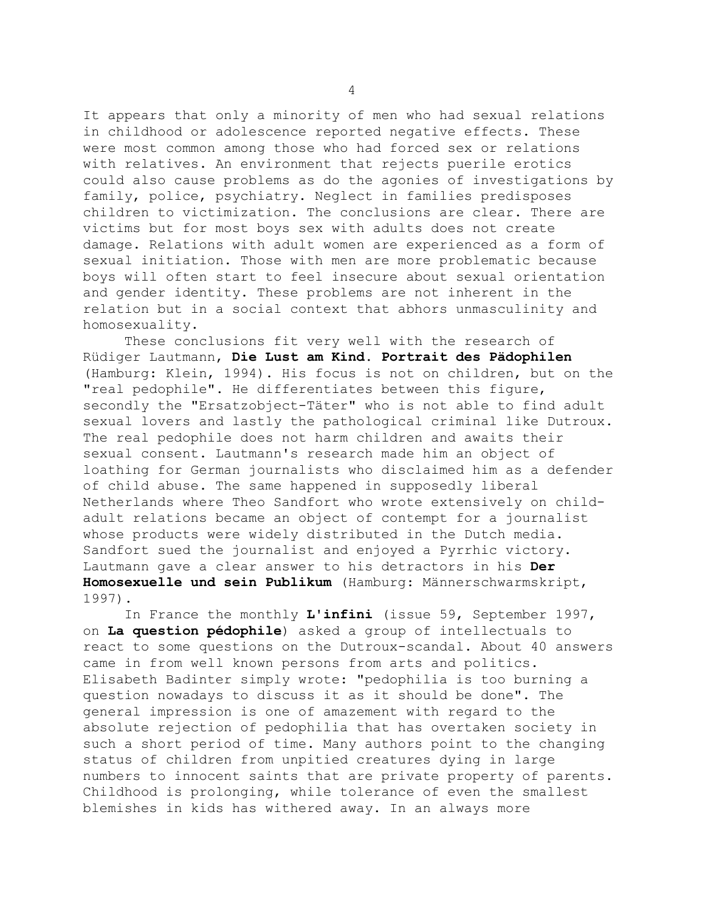It appears that only a minority of men who had sexual relations in childhood or adolescence reported negative effects. These were most common among those who had forced sex or relations with relatives. An environment that rejects puerile erotics could also cause problems as do the agonies of investigations by family, police, psychiatry. Neglect in families predisposes children to victimization. The conclusions are clear. There are victims but for most boys sex with adults does not create damage. Relations with adult women are experienced as a form of sexual initiation. Those with men are more problematic because boys will often start to feel insecure about sexual orientation and gender identity. These problems are not inherent in the relation but in a social context that abhors unmasculinity and homosexuality.

 These conclusions fit very well with the research of Rüdiger Lautmann, **Die Lust am Kind. Portrait des Pädophilen** (Hamburg: Klein, 1994). His focus is not on children, but on the "real pedophile". He differentiates between this figure, secondly the "Ersatzobject-Täter" who is not able to find adult sexual lovers and lastly the pathological criminal like Dutroux. The real pedophile does not harm children and awaits their sexual consent. Lautmann's research made him an object of loathing for German journalists who disclaimed him as a defender of child abuse. The same happened in supposedly liberal Netherlands where Theo Sandfort who wrote extensively on childadult relations became an object of contempt for a journalist whose products were widely distributed in the Dutch media. Sandfort sued the journalist and enjoyed a Pyrrhic victory. Lautmann gave a clear answer to his detractors in his **Der Homosexuelle und sein Publikum** (Hamburg: Männerschwarmskript, 1997).

 In France the monthly **L'infini** (issue 59, September 1997, on **La question pédophile**) asked a group of intellectuals to react to some questions on the Dutroux-scandal. About 40 answers came in from well known persons from arts and politics. Elisabeth Badinter simply wrote: "pedophilia is too burning a question nowadays to discuss it as it should be done". The general impression is one of amazement with regard to the absolute rejection of pedophilia that has overtaken society in such a short period of time. Many authors point to the changing status of children from unpitied creatures dying in large numbers to innocent saints that are private property of parents. Childhood is prolonging, while tolerance of even the smallest blemishes in kids has withered away. In an always more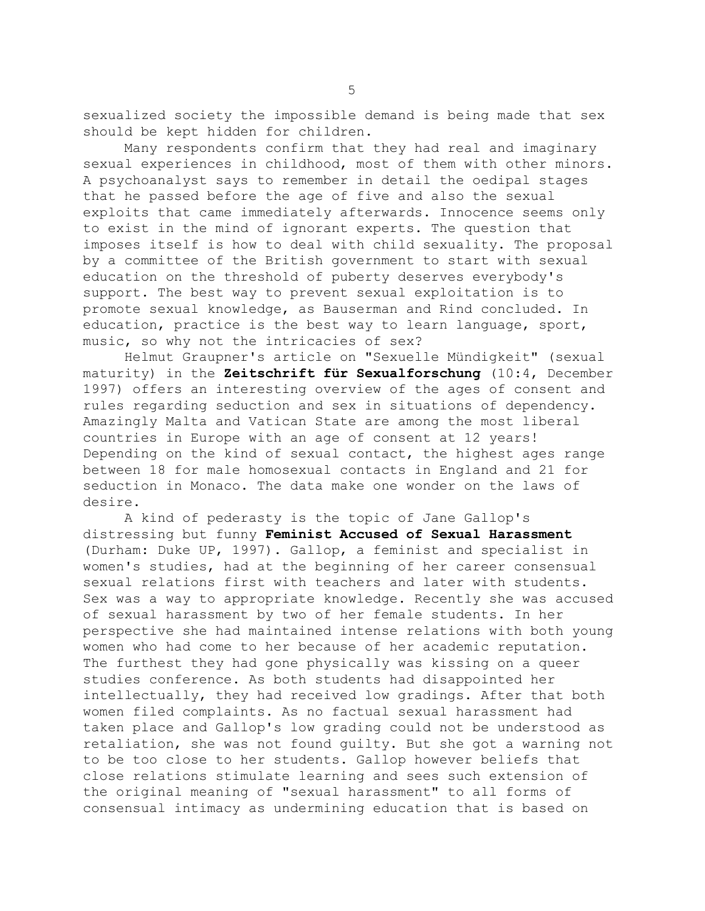sexualized society the impossible demand is being made that sex should be kept hidden for children.

 Many respondents confirm that they had real and imaginary sexual experiences in childhood, most of them with other minors. A psychoanalyst says to remember in detail the oedipal stages that he passed before the age of five and also the sexual exploits that came immediately afterwards. Innocence seems only to exist in the mind of ignorant experts. The question that imposes itself is how to deal with child sexuality. The proposal by a committee of the British government to start with sexual education on the threshold of puberty deserves everybody's support. The best way to prevent sexual exploitation is to promote sexual knowledge, as Bauserman and Rind concluded. In education, practice is the best way to learn language, sport, music, so why not the intricacies of sex?

 Helmut Graupner's article on "Sexuelle Mündigkeit" (sexual maturity) in the **Zeitschrift für Sexualforschung** (10:4, December 1997) offers an interesting overview of the ages of consent and rules regarding seduction and sex in situations of dependency. Amazingly Malta and Vatican State are among the most liberal countries in Europe with an age of consent at 12 years! Depending on the kind of sexual contact, the highest ages range between 18 for male homosexual contacts in England and 21 for seduction in Monaco. The data make one wonder on the laws of desire.

 A kind of pederasty is the topic of Jane Gallop's distressing but funny **Feminist Accused of Sexual Harassment** (Durham: Duke UP, 1997). Gallop, a feminist and specialist in women's studies, had at the beginning of her career consensual sexual relations first with teachers and later with students. Sex was a way to appropriate knowledge. Recently she was accused of sexual harassment by two of her female students. In her perspective she had maintained intense relations with both young women who had come to her because of her academic reputation. The furthest they had gone physically was kissing on a queer studies conference. As both students had disappointed her intellectually, they had received low gradings. After that both women filed complaints. As no factual sexual harassment had taken place and Gallop's low grading could not be understood as retaliation, she was not found guilty. But she got a warning not to be too close to her students. Gallop however beliefs that close relations stimulate learning and sees such extension of the original meaning of "sexual harassment" to all forms of consensual intimacy as undermining education that is based on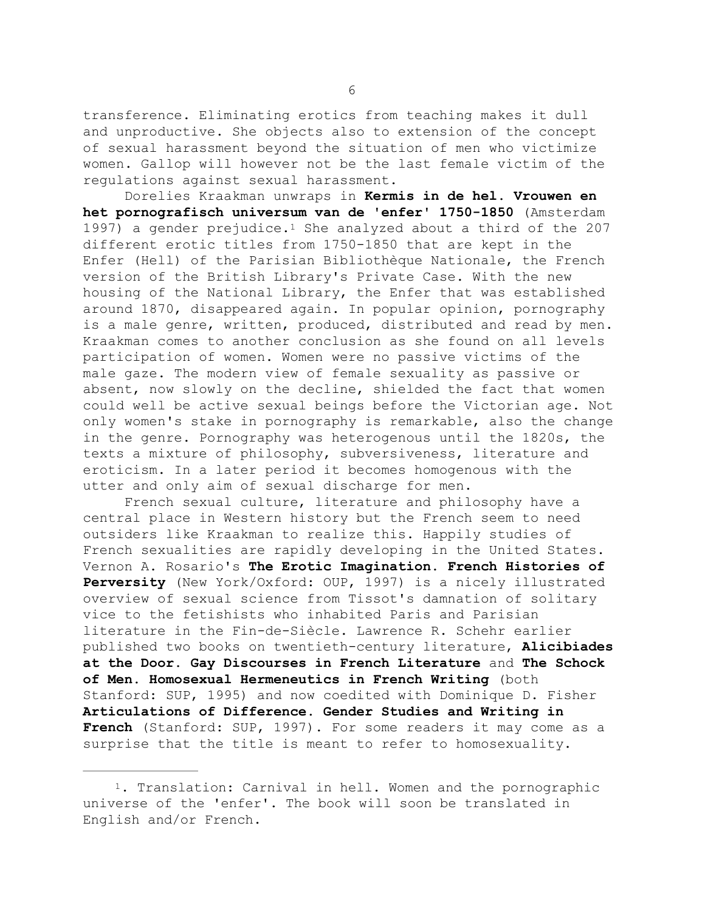transference. Eliminating erotics from teaching makes it dull and unproductive. She objects also to extension of the concept of sexual harassment beyond the situation of men who victimize women. Gallop will however not be the last female victim of the regulations against sexual harassment.

<span id="page-5-1"></span> Dorelies Kraakman unwraps in **Kermis in de hel. Vrouwen en het pornografisch universum van de 'enfer' 1750-1850** (Amsterdam 1997) a gender prejudice[.1](#page-5-0) She analyzed about a third of the 207 different erotic titles from 1750-1850 that are kept in the Enfer (Hell) of the Parisian Bibliothèque Nationale, the French version of the British Library's Private Case. With the new housing of the National Library, the Enfer that was established around 1870, disappeared again. In popular opinion, pornography is a male genre, written, produced, distributed and read by men. Kraakman comes to another conclusion as she found on all levels participation of women. Women were no passive victims of the male gaze. The modern view of female sexuality as passive or absent, now slowly on the decline, shielded the fact that women could well be active sexual beings before the Victorian age. Not only women's stake in pornography is remarkable, also the change in the genre. Pornography was heterogenous until the 1820s, the texts a mixture of philosophy, subversiveness, literature and eroticism. In a later period it becomes homogenous with the utter and only aim of sexual discharge for men.

 French sexual culture, literature and philosophy have a central place in Western history but the French seem to need outsiders like Kraakman to realize this. Happily studies of French sexualities are rapidly developing in the United States. Vernon A. Rosario's **The Erotic Imagination. French Histories of Perversity** (New York/Oxford: OUP, 1997) is a nicely illustrated overview of sexual science from Tissot's damnation of solitary vice to the fetishists who inhabited Paris and Parisian literature in the Fin-de-Siècle. Lawrence R. Schehr earlier published two books on twentieth-century literature, **Alicibiades at the Door. Gay Discourses in French Literature** and **The Schock of Men. Homosexual Hermeneutics in French Writing** (both Stanford: SUP, 1995) and now coedited with Dominique D. Fisher **Articulations of Difference. Gender Studies and Writing in French** (Stanford: SUP, 1997). For some readers it may come as a surprise that the title is meant to refer to homosexuality.

<span id="page-5-0"></span>[1](#page-5-1). Translation: Carnival in hell. Women and the pornographic universe of the 'enfer'. The book will soon be translated in English and/or French.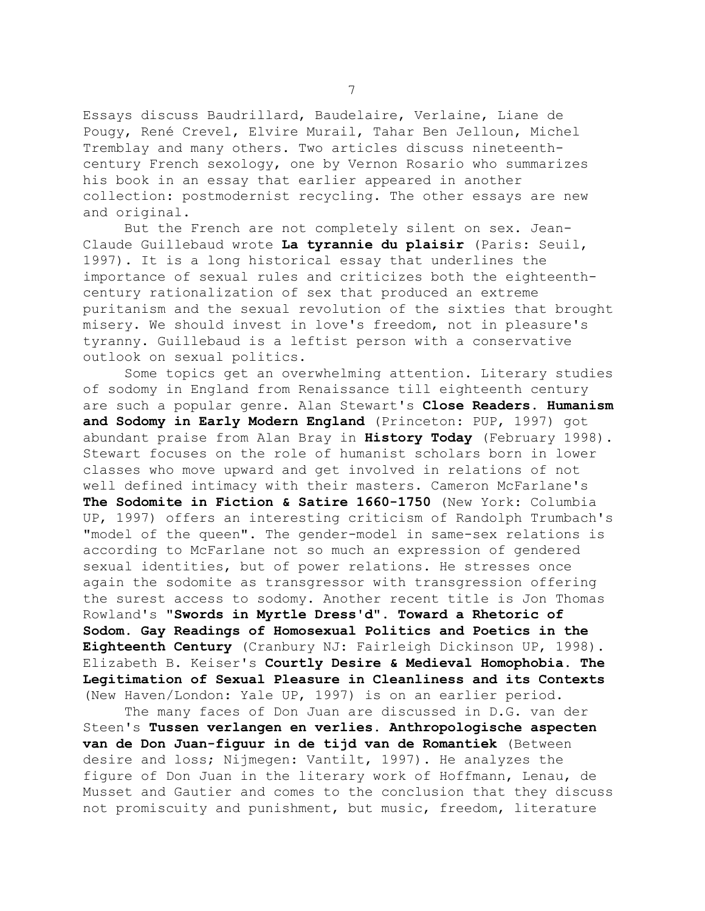Essays discuss Baudrillard, Baudelaire, Verlaine, Liane de Pougy, René Crevel, Elvire Murail, Tahar Ben Jelloun, Michel Tremblay and many others. Two articles discuss nineteenthcentury French sexology, one by Vernon Rosario who summarizes his book in an essay that earlier appeared in another collection: postmodernist recycling. The other essays are new and original.

 But the French are not completely silent on sex. Jean-Claude Guillebaud wrote **La tyrannie du plaisir** (Paris: Seuil, 1997). It is a long historical essay that underlines the importance of sexual rules and criticizes both the eighteenthcentury rationalization of sex that produced an extreme puritanism and the sexual revolution of the sixties that brought misery. We should invest in love's freedom, not in pleasure's tyranny. Guillebaud is a leftist person with a conservative outlook on sexual politics.

 Some topics get an overwhelming attention. Literary studies of sodomy in England from Renaissance till eighteenth century are such a popular genre. Alan Stewart's **Close Readers. Humanism and Sodomy in Early Modern England** (Princeton: PUP, 1997) got abundant praise from Alan Bray in **History Today** (February 1998). Stewart focuses on the role of humanist scholars born in lower classes who move upward and get involved in relations of not well defined intimacy with their masters. Cameron McFarlane's **The Sodomite in Fiction & Satire 1660-1750** (New York: Columbia UP, 1997) offers an interesting criticism of Randolph Trumbach's "model of the queen". The gender-model in same-sex relations is according to McFarlane not so much an expression of gendered sexual identities, but of power relations. He stresses once again the sodomite as transgressor with transgression offering the surest access to sodomy. Another recent title is Jon Thomas Rowland's **"Swords in Myrtle Dress'd". Toward a Rhetoric of Sodom. Gay Readings of Homosexual Politics and Poetics in the Eighteenth Century** (Cranbury NJ: Fairleigh Dickinson UP, 1998). Elizabeth B. Keiser's **Courtly Desire & Medieval Homophobia. The Legitimation of Sexual Pleasure in Cleanliness and its Contexts** (New Haven/London: Yale UP, 1997) is on an earlier period.

 The many faces of Don Juan are discussed in D.G. van der Steen's **Tussen verlangen en verlies. Anthropologische aspecten van de Don Juan-figuur in de tijd van de Romantiek** (Between desire and loss; Nijmegen: Vantilt, 1997). He analyzes the figure of Don Juan in the literary work of Hoffmann, Lenau, de Musset and Gautier and comes to the conclusion that they discuss not promiscuity and punishment, but music, freedom, literature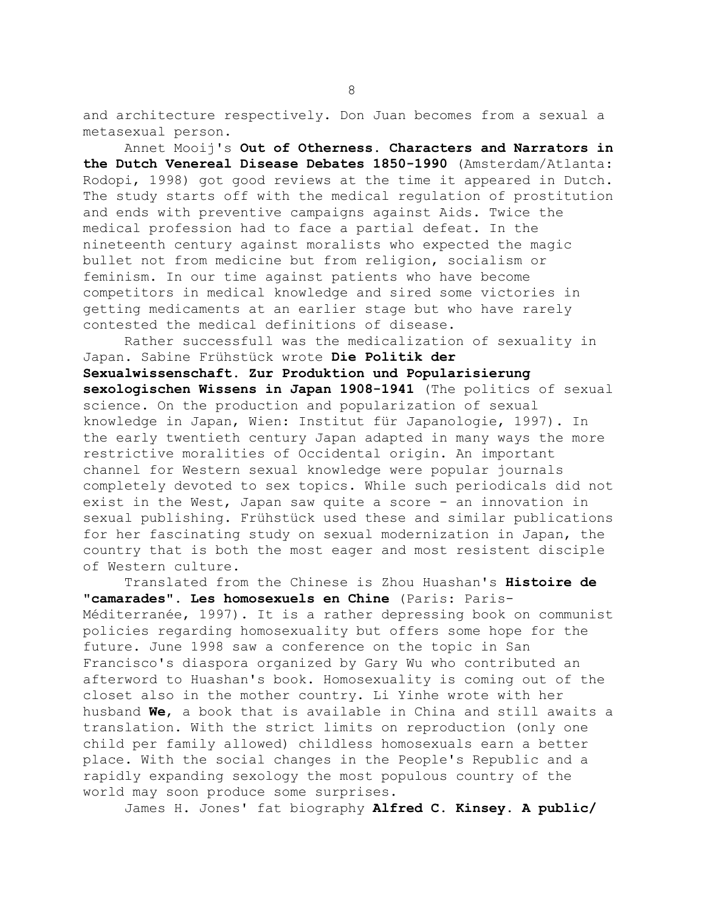and architecture respectively. Don Juan becomes from a sexual a metasexual person.

 Annet Mooij's **Out of Otherness. Characters and Narrators in the Dutch Venereal Disease Debates 1850-1990** (Amsterdam/Atlanta: Rodopi, 1998) got good reviews at the time it appeared in Dutch. The study starts off with the medical regulation of prostitution and ends with preventive campaigns against Aids. Twice the medical profession had to face a partial defeat. In the nineteenth century against moralists who expected the magic bullet not from medicine but from religion, socialism or feminism. In our time against patients who have become competitors in medical knowledge and sired some victories in getting medicaments at an earlier stage but who have rarely contested the medical definitions of disease.

 Rather successfull was the medicalization of sexuality in Japan. Sabine Frühstück wrote **Die Politik der Sexualwissenschaft. Zur Produktion und Popularisierung sexologischen Wissens in Japan 1908-1941** (The politics of sexual science. On the production and popularization of sexual knowledge in Japan, Wien: Institut für Japanologie, 1997). In the early twentieth century Japan adapted in many ways the more restrictive moralities of Occidental origin. An important channel for Western sexual knowledge were popular journals completely devoted to sex topics. While such periodicals did not exist in the West, Japan saw quite a score - an innovation in sexual publishing. Frühstück used these and similar publications for her fascinating study on sexual modernization in Japan, the country that is both the most eager and most resistent disciple of Western culture.

 Translated from the Chinese is Zhou Huashan's **Histoire de "camarades". Les homosexuels en Chine** (Paris: Paris-Méditerranée, 1997). It is a rather depressing book on communist policies regarding homosexuality but offers some hope for the future. June 1998 saw a conference on the topic in San Francisco's diaspora organized by Gary Wu who contributed an afterword to Huashan's book. Homosexuality is coming out of the closet also in the mother country. Li Yinhe wrote with her husband **We**, a book that is available in China and still awaits a translation. With the strict limits on reproduction (only one child per family allowed) childless homosexuals earn a better place. With the social changes in the People's Republic and a rapidly expanding sexology the most populous country of the world may soon produce some surprises.

James H. Jones' fat biography **Alfred C. Kinsey. A public/**